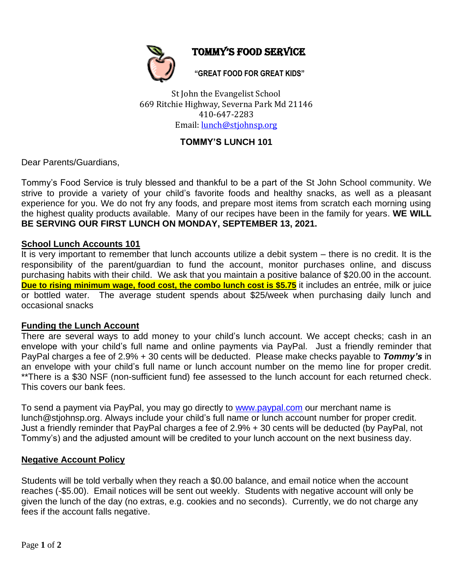

Tommy's Food service

**"GREAT FOOD FOR GREAT KIDS"**

St John the Evangelist School 669 Ritchie Highway, Severna Park Md 21146 410-647-2283 Email: [lunch@stjohnsp.org](mailto:lunch@stjohnsp.org)

# **TOMMY'S LUNCH 101**

Dear Parents/Guardians,

Tommy's Food Service is truly blessed and thankful to be a part of the St John School community. We strive to provide a variety of your child's favorite foods and healthy snacks, as well as a pleasant experience for you. We do not fry any foods, and prepare most items from scratch each morning using the highest quality products available. Many of our recipes have been in the family for years. **WE WILL BE SERVING OUR FIRST LUNCH ON MONDAY, SEPTEMBER 13, 2021.**

### **School Lunch Accounts 101**

It is very important to remember that lunch accounts utilize a debit system – there is no credit. It is the responsibility of the parent/guardian to fund the account, monitor purchases online, and discuss purchasing habits with their child. We ask that you maintain a positive balance of \$20.00 in the account. **Due to rising minimum wage, food cost, the combo lunch cost is \$5.75** it includes an entrée, milk or juice or bottled water. The average student spends about \$25/week when purchasing daily lunch and occasional snacks

### **Funding the Lunch Account**

There are several ways to add money to your child's lunch account. We accept checks; cash in an envelope with your child's full name and online payments via PayPal. Just a friendly reminder that PayPal charges a fee of 2.9% + 30 cents will be deducted. Please make checks payable to *Tommy's* in an envelope with your child's full name or lunch account number on the memo line for proper credit. \*\*There is a \$30 NSF (non-sufficient fund) fee assessed to the lunch account for each returned check. This covers our bank fees.

To send a payment via PayPal, you may go directly to [www.paypal.com](http://www.paypal.com/) our merchant name is lunch@stjohnsp.org. Always include your child's full name or lunch account number for proper credit. Just a friendly reminder that PayPal charges a fee of 2.9% + 30 cents will be deducted (by PayPal, not Tommy's) and the adjusted amount will be credited to your lunch account on the next business day.

## **Negative Account Policy**

Students will be told verbally when they reach a \$0.00 balance, and email notice when the account reaches (-\$5.00). Email notices will be sent out weekly. Students with negative account will only be given the lunch of the day (no extras, e.g. cookies and no seconds). Currently, we do not charge any fees if the a[ccount](http://www.tommysfoodservice.com/) [falls](http://www.tommysfoodservice.com/) [negative.](http://www.tommysfoodservice.com/)